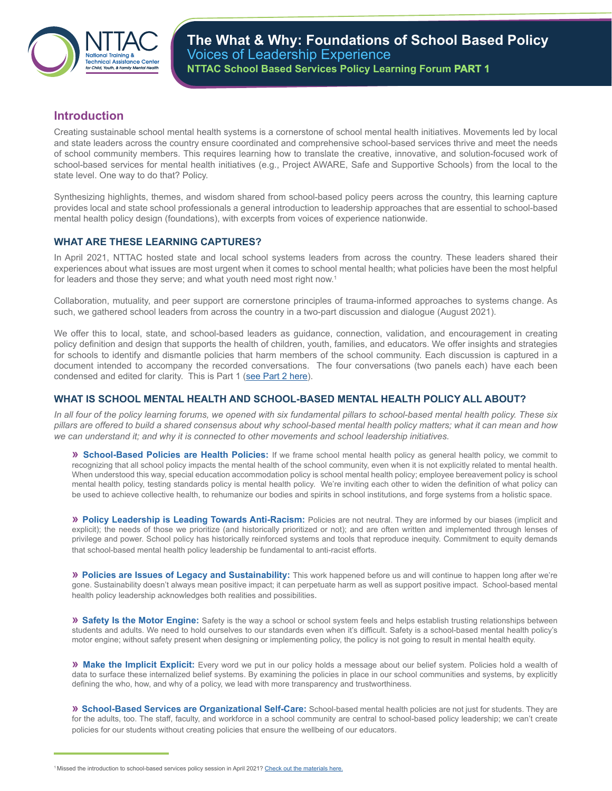

## **Introduction**

Creating sustainable school mental health systems is a cornerstone of school mental health initiatives. Movements led by local and state leaders across the country ensure coordinated and comprehensive school-based services thrive and meet the needs of school community members. This requires learning how to translate the creative, innovative, and solution-focused work of school-based services for mental health initiatives (e.g., Project AWARE, Safe and Supportive Schools) from the local to the state level. One way to do that? Policy.

Synthesizing highlights, themes, and wisdom shared from school-based policy peers across the country, this learning capture provides local and state school professionals a general introduction to leadership approaches that are essential to school-based mental health policy design (foundations), with excerpts from voices of experience nationwide.

## **WHAT ARE THESE LEARNING CAPTURES?**

In April 2021, NTTAC hosted state and local school systems leaders from across the country. These leaders shared their experiences about what issues are most urgent when it comes to school mental health; what policies have been the most helpful for leaders and those they serve; and what youth need most right now.<sup>1</sup>

Collaboration, mutuality, and peer support are cornerstone principles of trauma-informed approaches to systems change. As such, we gathered school leaders from across the country in a two-part discussion and dialogue (August 2021).

We offer this to local, state, and school-based leaders as guidance, connection, validation, and encouragement in creating policy definition and design that supports the health of children, youth, families, and educators. We offer insights and strategies for schools to identify and dismantle policies that harm members of the school community. Each discussion is captured in a document intended to accompany the recorded conversations. The four conversations (two panels each) have each been condensed and edited for clarity. This is Part 1 [\(see Part 2 here\)](https://nttacmentalhealth.org/resource/sbs-policy-learning-forum-part2/).

## **WHAT IS SCHOOL MENTAL HEALTH AND SCHOOL-BASED MENTAL HEALTH POLICY ALL ABOUT?**

*In all four of the policy learning forums, we opened with six fundamental pillars to school-based mental health policy. These six pillars are offered to build a shared consensus about why school-based mental health policy matters; what it can mean and how we can understand it; and why it is connected to other movements and school leadership initiatives.* 

**» School-Based Policies are Health Policies:** If we frame school mental health policy as general health policy, we commit to recognizing that all school policy impacts the mental health of the school community, even when it is not explicitly related to mental health. When understood this way, special education accommodation policy is school mental health policy; employee bereavement policy is school mental health policy, testing standards policy is mental health policy. We're inviting each other to widen the definition of what policy can be used to achieve collective health, to rehumanize our bodies and spirits in school institutions, and forge systems from a holistic space.

**» Policy Leadership is Leading Towards Anti-Racism:** Policies are not neutral. They are informed by our biases (implicit and explicit); the needs of those we prioritize (and historically prioritized or not); and are often written and implemented through lenses of privilege and power. School policy has historically reinforced systems and tools that reproduce inequity. Commitment to equity demands that school-based mental health policy leadership be fundamental to anti-racist efforts.

**» Policies are Issues of Legacy and Sustainability:** This work happened before us and will continue to happen long after we're gone. Sustainability doesn't always mean positive impact; it can perpetuate harm as well as support positive impact. School-based mental health policy leadership acknowledges both realities and possibilities.

**» Safety Is the Motor Engine:** Safety is the way a school or school system feels and helps establish trusting relationships between students and adults. We need to hold ourselves to our standards even when it's difficult. Safety is a school-based mental health policy's motor engine; without safety present when designing or implementing policy, the policy is not going to result in mental health equity.

**» Make the Implicit Explicit:** Every word we put in our policy holds a message about our belief system. Policies hold a wealth of data to surface these internalized belief systems. By examining the policies in place in our school communities and systems, by explicitly defining the who, how, and why of a policy, we lead with more transparency and trustworthiness.

**» School-Based Services are Organizational Self-Care:** School-based mental health policies are not just for students. They are for the adults, too. The staff, faculty, and workforce in a school community are central to school-based policy leadership; we can't create policies for our students without creating policies that ensure the wellbeing of our educators.

<sup>&</sup>lt;sup>1</sup> Missed the introduction to school-based services policy session in April 2021? [Check out the materials here.](https://drive.google.com/file/d/1wnsxPigw4hKJ4bG-MqxUVTU5HjUILgID/view)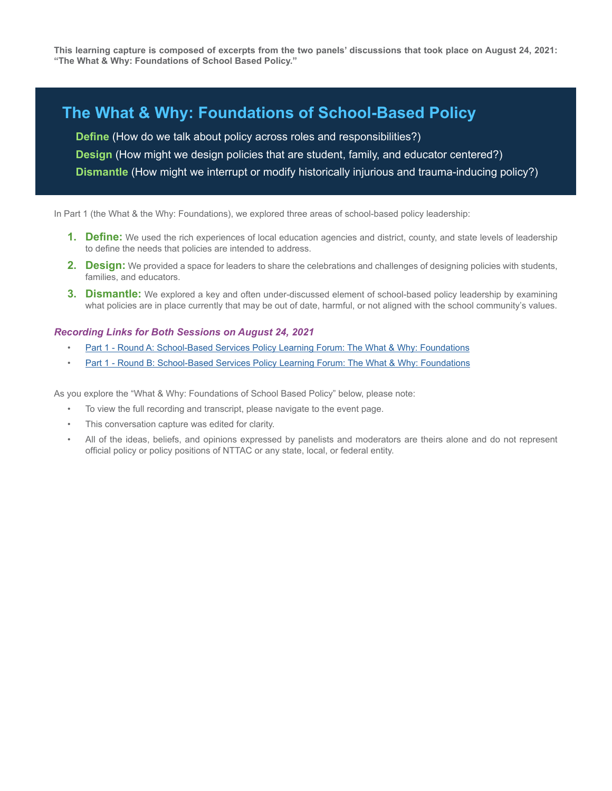**This learning capture is composed of excerpts from the two panels' discussions that took place on August 24, 2021: "The What & Why: Foundations of School Based Policy."**

## **The What & Why: Foundations of School-Based Policy**

**Define** (How do we talk about policy across roles and responsibilities?) **Design** (How might we design policies that are student, family, and educator centered?) **Dismantle** (How might we interrupt or modify historically injurious and trauma-inducing policy?)

In Part 1 (the What & the Why: Foundations), we explored three areas of school-based policy leadership:

- **1. Define:** We used the rich experiences of local education agencies and district, county, and state levels of leadership to define the needs that policies are intended to address.
- **2. Design:** We provided a space for leaders to share the celebrations and challenges of designing policies with students, families, and educators.
- **3. Dismantle:** We explored a key and often under-discussed element of school-based policy leadership by examining what policies are in place currently that may be out of date, harmful, or not aligned with the school community's values.

#### *Recording Links for Both Sessions on August 24, 2021*

- [Part 1 Round A: School-Based Services Policy Learning Forum: The What & Why: Foundations](https://youtu.be/7LyaJa_xcWw)
- [Part 1 Round B: School-Based Services Policy Learning Forum: The What & Why: Foundations](https://www.youtube.com/watch?v=B6gfIlMGMxk)

As you explore the "What & Why: Foundations of School Based Policy" below, please note:

- To view the full recording and transcript, please navigate to the event page.
- This conversation capture was edited for clarity.
- All of the ideas, beliefs, and opinions expressed by panelists and moderators are theirs alone and do not represent official policy or policy positions of NTTAC or any state, local, or federal entity.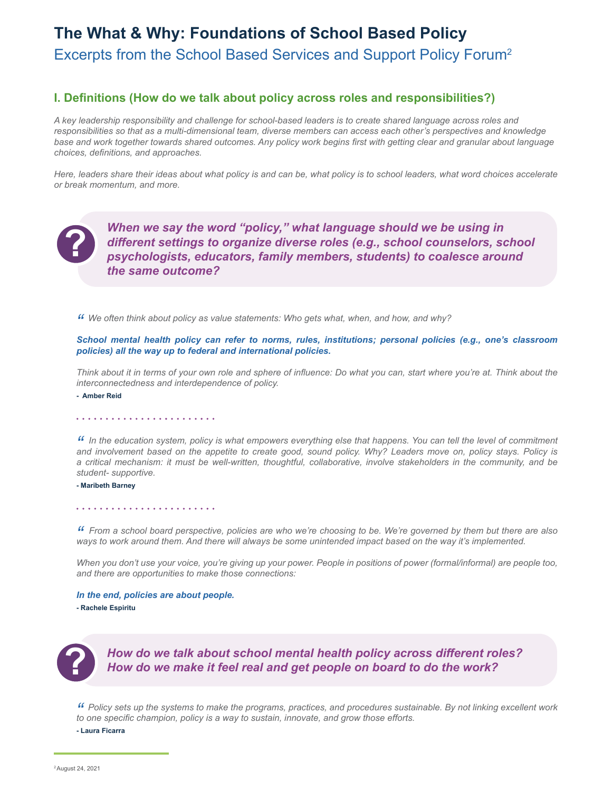## **The What & Why: Foundations of School Based Policy** Excerpts from the School Based Services and Support Policy Forum2

## **I. Definitions (How do we talk about policy across roles and responsibilities?)**

*A key leadership responsibility and challenge for school-based leaders is to create shared language across roles and responsibilities so that as a multi-dimensional team, diverse members can access each other's perspectives and knowledge base and work together towards shared outcomes. Any policy work begins first with getting clear and granular about language choices, definitions, and approaches.* 

*Here, leaders share their ideas about what policy is and can be, what policy is to school leaders, what word choices accelerate or break momentum, and more.* 



*When we say the word "policy," what language should we be using in different settings to organize diverse roles (e.g., school counselors, school psychologists, educators, family members, students) to coalesce around the same outcome?*

*" We often think about policy as value statements: Who gets what, when, and how, and why?* 

*School mental health policy can refer to norms, rules, institutions; personal policies (e.g., one's classroom policies) all the way up to federal and international policies.* 

*Think about it in terms of your own role and sphere of influence: Do what you can, start where you're at. Think about the interconnectedness and interdependence of policy.*

**- Amber Reid**

#### 

*" In the education system, policy is what empowers everything else that happens. You can tell the level of commitment and involvement based on the appetite to create good, sound policy. Why? Leaders move on, policy stays. Policy is a critical mechanism: it must be well-written, thoughtful, collaborative, involve stakeholders in the community, and be student- supportive.* 

#### **- Maribeth Barney**

#### 

*" From a school board perspective, policies are who we're choosing to be. We're governed by them but there are also ways to work around them. And there will always be some unintended impact based on the way it's implemented.*

*When you don't use your voice, you're giving up your power. People in positions of power (formal/informal) are people too, and there are opportunities to make those connections:*

*In the end, policies are about people.* **- Rachele Espiritu**



# *How do we talk about school mental health policy across different roles?*<br>How do we make it feel real and get people on board to do the work?

*" Policy sets up the systems to make the programs, practices, and procedures sustainable. By not linking excellent work to one specific champion, policy is a way to sustain, innovate, and grow those efforts.*

**- Laura Ficarra**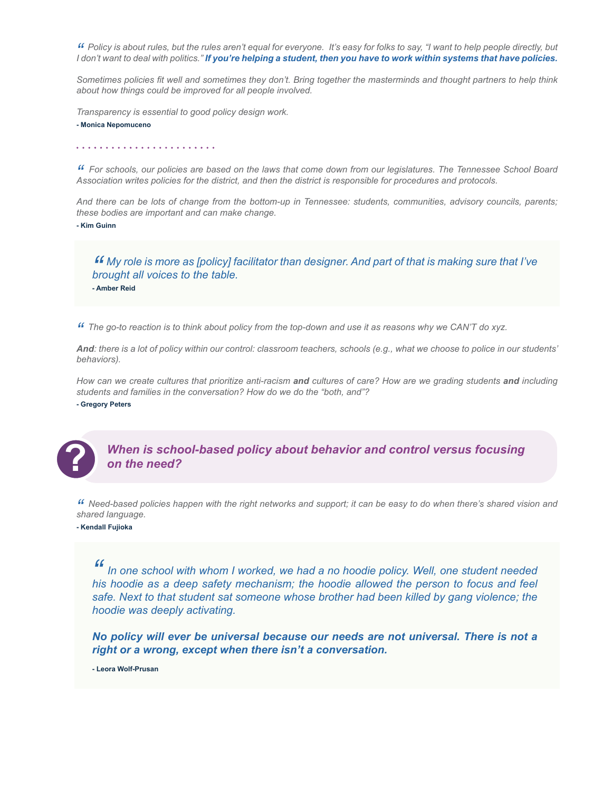" Policy is about rules, but the rules aren't equal for everyone. It's easy for folks to say, "I want to help people directly, but<br>I don't want to deal with politics." If you're helping a student, then you have to work wit

*Sometimes policies fit well and sometimes they don't. Bring together the masterminds and thought partners to help think about how things could be improved for all people involved.* 

*Transparency is essential to good policy design work.* 

**- Monica Nepomuceno**

*" For schools, our policies are based on the laws that come down from our legislatures. The Tennessee School Board Association writes policies for the district, and then the district is responsible for procedures and protocols.*

*And there can be lots of change from the bottom-up in Tennessee: students, communities, advisory councils, parents; these bodies are important and can make change.* 

**- Kim Guinn**

*" My role is more as [policy] facilitator than designer. And part of that is making sure that I've brought all voices to the table.* **- Amber Reid**

*" The go-to reaction is to think about policy from the top-down and use it as reasons why we CAN'T do xyz.*

*And: there is a lot of policy within our control: classroom teachers, schools (e.g., what we choose to police in our students' behaviors).*

*How can we create cultures that prioritize anti-racism and cultures of care? How are we grading students and including students and families in the conversation? How do we do the "both, and"?*

**- Gregory Peters**



*When is school-based policy about behavior and control versus focusing* **?** *on the need?*

*" Need-based policies happen with the right networks and support; it can be easy to do when there's shared vision and shared language.* 

**- Kendall Fujioka**

In one school with whom I worked, we had a no hoodie policy. Well, one student needed *his hoodie as a deep safety mechanism; the hoodie allowed the person to focus and feel safe. Next to that student sat someone whose brother had been killed by gang violence; the hoodie was deeply activating.* 

*No policy will ever be universal because our needs are not universal. There is not a right or a wrong, except when there isn't a conversation.* 

**- Leora Wolf-Prusan**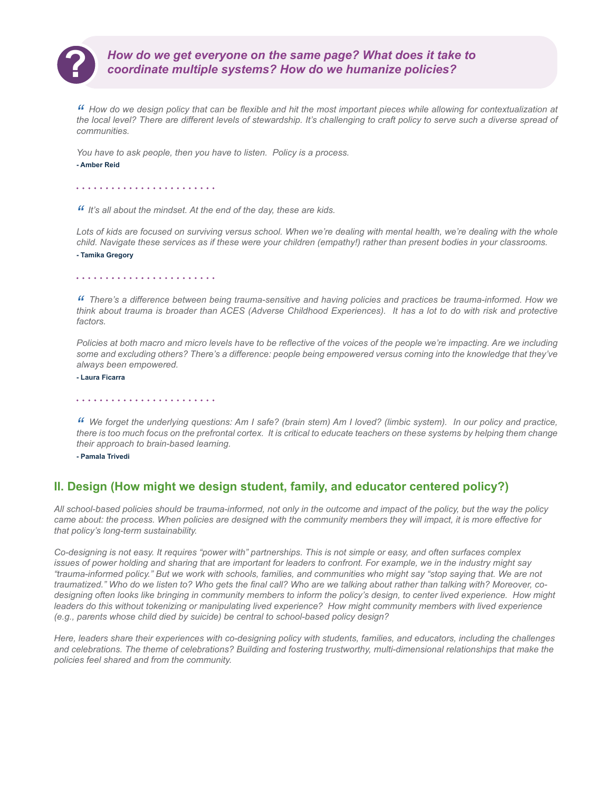

# *How do we get everyone on the same page? What does it take to* **?** *coordinate multiple systems? How do we humanize policies?*

*" How do we design policy that can be flexible and hit the most important pieces while allowing for contextualization at the local level? There are different levels of stewardship. It's challenging to craft policy to serve such a diverse spread of communities.*

*You have to ask people, then you have to listen. Policy is a process.*

#### **- Amber Reid**

*" It's all about the mindset. At the end of the day, these are kids.* 

Lots of kids are focused on surviving versus school. When we're dealing with mental health, we're dealing with the whole *child. Navigate these services as if these were your children (empathy!) rather than present bodies in your classrooms.* **- Tamika Gregory**

#### 

*" There's a difference between being trauma-sensitive and having policies and practices be trauma-informed. How we think about trauma is broader than ACES (Adverse Childhood Experiences). It has a lot to do with risk and protective factors.*

*Policies at both macro and micro levels have to be reflective of the voices of the people we're impacting. Are we including some and excluding others? There's a difference: people being empowered versus coming into the knowledge that they've always been empowered.*

**- Laura Ficarra**

<sup>44</sup> We forget the underlying questions: Am I safe? (brain stem) Am I loved? (limbic system). In our policy and practice,<br>there is too much focus on the prefrontal cortex. It is critical to educate teachers on these system *their approach to brain-based learning.* 

**- Pamala Trivedi**

## **II. Design (How might we design student, family, and educator centered policy?)**

*All school-based policies should be trauma-informed, not only in the outcome and impact of the policy, but the way the policy came about: the process. When policies are designed with the community members they will impact, it is more effective for that policy's long-term sustainability.* 

*Co-designing is not easy. It requires "power with" partnerships. This is not simple or easy, and often surfaces complex issues of power holding and sharing that are important for leaders to confront. For example, we in the industry might say "trauma-informed policy." But we work with schools, families, and communities who might say "stop saying that. We are not traumatized." Who do we listen to? Who gets the final call? Who are we talking about rather than talking with? Moreover, codesigning often looks like bringing in community members to inform the policy's design, to center lived experience. How might*  leaders do this without tokenizing or manipulating lived experience? How might community members with lived experience *(e.g., parents whose child died by suicide) be central to school-based policy design?* 

*Here, leaders share their experiences with co-designing policy with students, families, and educators, including the challenges and celebrations. The theme of celebrations? Building and fostering trustworthy, multi-dimensional relationships that make the policies feel shared and from the community.*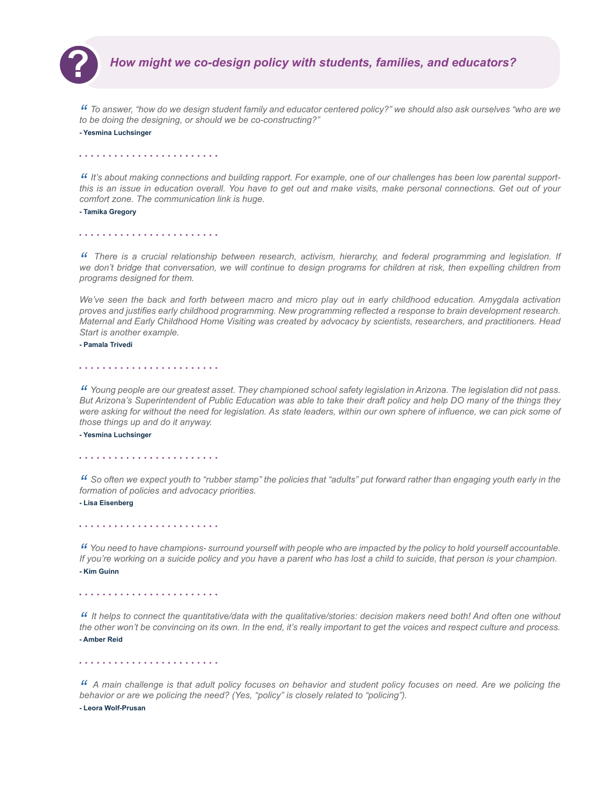

*" To answer, "how do we design student family and educator centered policy?" we should also ask ourselves "who are we to be doing the designing, or should we be co-constructing?"* 

**- Yesmina Luchsinger**

If It's about making connections and building rapport. For example, one of our challenges has been low parental support-<br>this is an issue in education overall. You have to get out and make visits, make personal connections *comfort zone. The communication link is huge.*

**- Tamika Gregory**

<sup>44</sup> There is a crucial relationship between research, activism, hierarchy, and federal programming and legislation. If<br>we don't bridge that conversation, we will continue to design programs for children at risk, then expe *programs designed for them.*

*We've seen the back and forth between macro and micro play out in early childhood education. Amygdala activation proves and justifies early childhood programming. New programming reflected a response to brain development research. Maternal and Early Childhood Home Visiting was created by advocacy by scientists, researchers, and practitioners. Head Start is another example.* 

**- Pamala Trivedi**

*" Young people are our greatest asset. They championed school safety legislation in Arizona. The legislation did not pass. But Arizona's Superintendent of Public Education was able to take their draft policy and help DO many of the things they*  were asking for without the need for legislation. As state leaders, within our own sphere of influence, we can pick some of *those things up and do it anyway.*

**- Yesmina Luchsinger**

*" So often we expect youth to "rubber stamp" the policies that "adults" put forward rather than engaging youth early in the formation of policies and advocacy priorities.*

**- Lisa Eisenberg**

*" You need to have champions- surround yourself with people who are impacted by the policy to hold yourself accountable. If you're working on a suicide policy and you have a parent who has lost a child to suicide, that person is your champion.* **- Kim Guinn**

*" It helps to connect the quantitative/data with the qualitative/stories: decision makers need both! And often one without the other won't be convincing on its own. In the end, it's really important to get the voices and respect culture and process.*  **- Amber Reid**

*" A main challenge is that adult policy focuses on behavior and student policy focuses on need. Are we policing the behavior or are we policing the need? (Yes, "policy" is closely related to "policing").*

**- Leora Wolf-Prusan**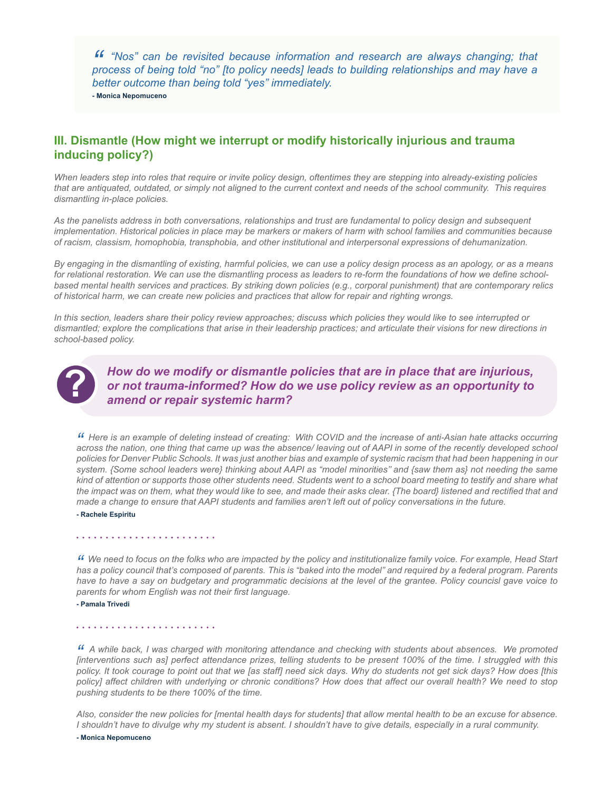*" "Nos" can be revisited because information and research are always changing; that process of being told "no" [to policy needs] leads to building relationships and may have a better outcome than being told "yes" immediately.* **- Monica Nepomuceno**

## **III. Dismantle (How might we interrupt or modify historically injurious and trauma inducing policy?)**

*When leaders step into roles that require or invite policy design, oftentimes they are stepping into already-existing policies that are antiquated, outdated, or simply not aligned to the current context and needs of the school community. This requires dismantling in-place policies.*

*As the panelists address in both conversations, relationships and trust are fundamental to policy design and subsequent implementation. Historical policies in place may be markers or makers of harm with school families and communities because of racism, classism, homophobia, transphobia, and other institutional and interpersonal expressions of dehumanization.* 

*By engaging in the dismantling of existing, harmful policies, we can use a policy design process as an apology, or as a means for relational restoration. We can use the dismantling process as leaders to re-form the foundations of how we define schoolbased mental health services and practices. By striking down policies (e.g., corporal punishment) that are contemporary relics of historical harm, we can create new policies and practices that allow for repair and righting wrongs.* 

*In this section, leaders share their policy review approaches; discuss which policies they would like to see interrupted or dismantled; explore the complications that arise in their leadership practices; and articulate their visions for new directions in school-based policy.*



*How do we modify or dismantle policies that are in place that are injurious, or not trauma-informed? How do we use policy review as an opportunity to* **?** *amend or repair systemic harm?*

*" Here is an example of deleting instead of creating: With COVID and the increase of anti-Asian hate attacks occurring across the nation, one thing that came up was the absence/ leaving out of AAPI in some of the recently developed school policies for Denver Public Schools. It was just another bias and example of systemic racism that had been happening in our system. {Some school leaders were} thinking about AAPI as "model minorities'' and {saw them as} not needing the same kind of attention or supports those other students need. Students went to a school board meeting to testify and share what the impact was on them, what they would like to see, and made their asks clear. {The board} listened and rectified that and made a change to ensure that AAPI students and families aren't left out of policy conversations in the future.* 

**- Rachele Espiritu**

#### 

<sup>44</sup> We need to focus on the folks who are impacted by the policy and institutionalize family voice. For example, Head Start<br>has a policy council that's composed of parents. This is "baked into the model" and required by a *have to have a say on budgetary and programmatic decisions at the level of the grantee. Policy councisl gave voice to parents for whom English was not their first language.* 

#### **- Pamala Trivedi**

#### 

" A while back, I was charged with monitoring attendance and checking with students about absences. We promoted<br>[interventions such as] perfect attendance prizes, telling students to be present 100% of the time. I struggle *policy. It took courage to point out that we [as staff] need sick days. Why do students not get sick days? How does [this policy] affect children with underlying or chronic conditions? How does that affect our overall health? We need to stop pushing students to be there 100% of the time.* 

*Also, consider the new policies for [mental health days for students] that allow mental health to be an excuse for absence. I shouldn't have to divulge why my student is absent. I shouldn't have to give details, especially in a rural community.* 

**- Monica Nepomuceno**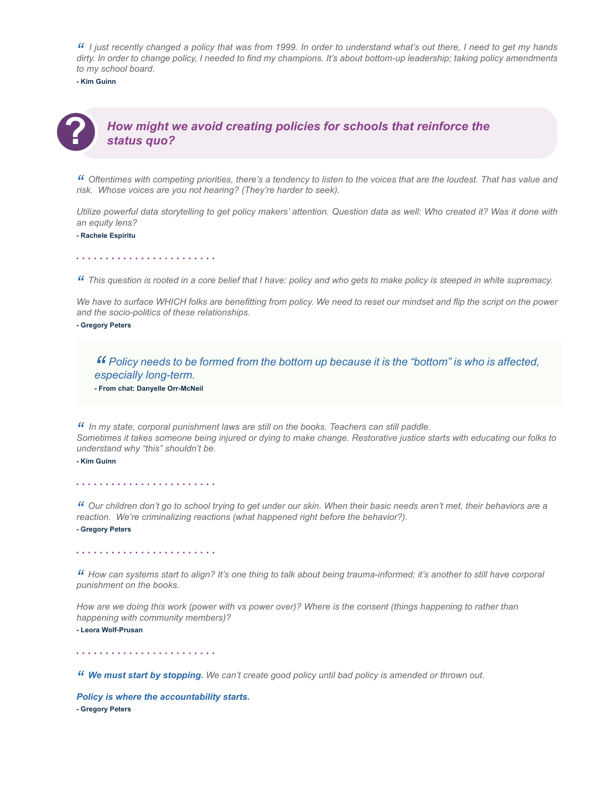" I just recently changed a policy that was from 1999. In order to understand what's out there, I need to get my hands<br>dirty. In order to change policy, I needed to find my champions. It's about bottom-up leadership; takin *to my school board.* 

**- Kim Guinn**



*" Oftentimes with competing priorities, there's a tendency to listen to the voices that are the loudest. That has value and risk. Whose voices are you not hearing? (They're harder to seek).* 

*Utilize powerful data storytelling to get policy makers' attention. Question data as well: Who created it? Was it done with an equity lens?*

**- Rachele Espiritu**

*" This question is rooted in a core belief that I have: policy and who gets to make policy is steeped in white supremacy.* 

We have to surface WHICH folks are benefitting from policy. We need to reset our mindset and flip the script on the power *and the socio-politics of these relationships.*

**- Gregory Peters**

*" Policy needs to be formed from the bottom up because it is the "bottom" is who is affected, especially long-term.* **- From chat: Danyelle Orr-McNeil**

"In my state, corporal punishment laws are still on the books. Teachers can still paddle.<br>Sometimes it takes someone being injured or dying to make change. Restorative justice starts with educating our folks to *understand why "this" shouldn't be.* 

**- Kim Guinn**

*" Our children don't go to school trying to get under our skin. When their basic needs aren't met, their behaviors are a reaction. We're criminalizing reactions (what happened right before the behavior?).* **- Gregory Peters**

*" How can systems start to align? It's one thing to talk about being trauma-informed; it's another to still have corporal punishment on the books.*

*How are we doing this work (power with vs power over)? Where is the consent (things happening to rather than happening with community members)?* 

**- Leora Wolf-Prusan**

*" We must start by stopping. We can't create good policy until bad policy is amended or thrown out.* 

*Policy is where the accountability starts.* **- Gregory Peters**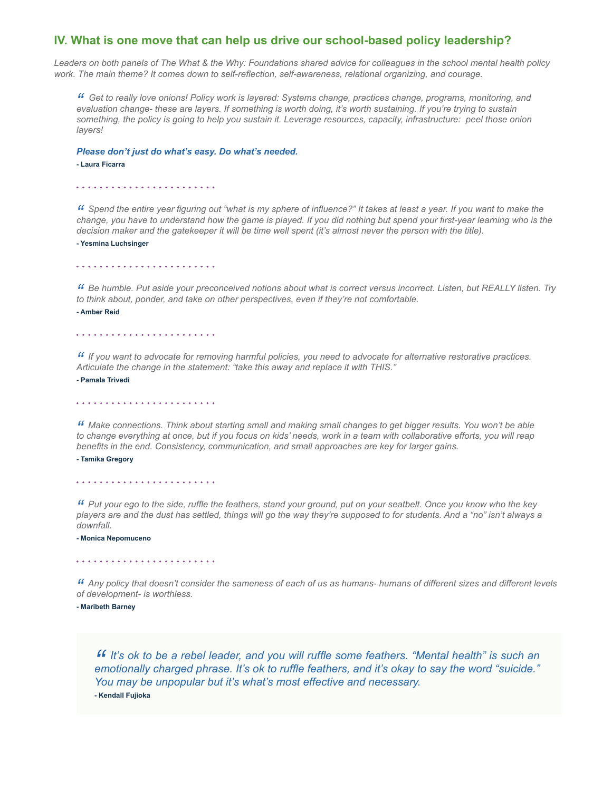### **IV. What is one move that can help us drive our school-based policy leadership?**

*Leaders on both panels of The What & the Why: Foundations shared advice for colleagues in the school mental health policy work. The main theme? It comes down to self-reflection, self-awareness, relational organizing, and courage.* 

*" Get to really love onions! Policy work is layered: Systems change, practices change, programs, monitoring, and evaluation change- these are layers. If something is worth doing, it's worth sustaining. If you're trying to sustain something, the policy is going to help you sustain it. Leverage resources, capacity, infrastructure: peel those onion layers!*

*Please don't just do what's easy. Do what's needed.*

#### **- Laura Ficarra**

"Spend the entire year figuring out "what is my sphere of influence?" It takes at least a year. If you want to make the<br>change, you have to understand how the game is played. If you did nothing but spend your first-year le *decision maker and the gatekeeper it will be time well spent (it's almost never the person with the title).* 

**- Yesmina Luchsinger**

*" Be humble. Put aside your preconceived notions about what is correct versus incorrect. Listen, but REALLY listen. Try to think about, ponder, and take on other perspectives, even if they're not comfortable.*  **- Amber Reid**

*" If you want to advocate for removing harmful policies, you need to advocate for alternative restorative practices. Articulate the change in the statement: "take this away and replace it with THIS."*

**- Pamala Trivedi**

*" Make connections. Think about starting small and making small changes to get bigger results. You won't be able to change everything at once, but if you focus on kids' needs, work in a team with collaborative efforts, you will reap benefits in the end. Consistency, communication, and small approaches are key for larger gains.* 

**- Tamika Gregory**

<sup>44</sup> Put your ego to the side, ruffle the feathers, stand your ground, put on your seatbelt. Once you know who the key<br>players are and the dust has settled, things will go the way they're supposed to for students. And a "n *downfall.* 

**- Monica Nepomuceno**

#### 

*" Any policy that doesn't consider the sameness of each of us as humans- humans of different sizes and different levels of development- is worthless.*

#### **- Maribeth Barney**

*" It's ok to be a rebel leader, and you will ruffle some feathers. "Mental health" is such an emotionally charged phrase. It's ok to ruffle feathers, and it's okay to say the word "suicide." You may be unpopular but it's what's most effective and necessary.*  **- Kendall Fujioka**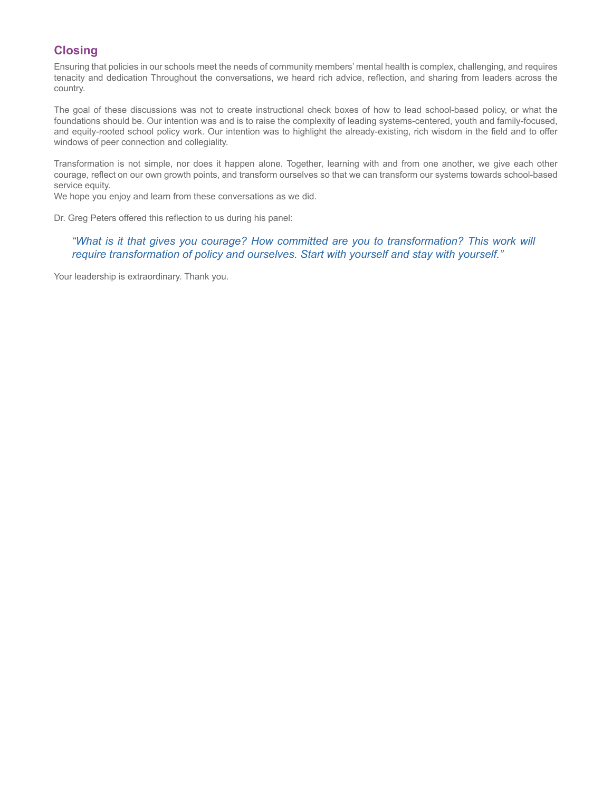## **Closing**

Ensuring that policies in our schools meet the needs of community members' mental health is complex, challenging, and requires tenacity and dedication Throughout the conversations, we heard rich advice, reflection, and sharing from leaders across the country.

The goal of these discussions was not to create instructional check boxes of how to lead school-based policy, or what the foundations should be. Our intention was and is to raise the complexity of leading systems-centered, youth and family-focused, and equity-rooted school policy work. Our intention was to highlight the already-existing, rich wisdom in the field and to offer windows of peer connection and collegiality.

Transformation is not simple, nor does it happen alone. Together, learning with and from one another, we give each other courage, reflect on our own growth points, and transform ourselves so that we can transform our systems towards school-based service equity.

We hope you enjoy and learn from these conversations as we did.

Dr. Greg Peters offered this reflection to us during his panel:

## *"What is it that gives you courage? How committed are you to transformation? This work will require transformation of policy and ourselves. Start with yourself and stay with yourself."*

Your leadership is extraordinary. Thank you.